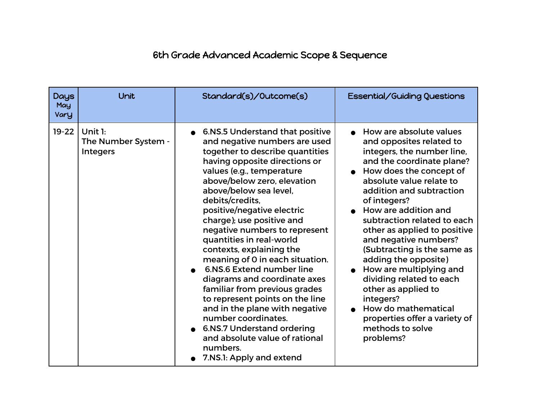## 6th Grade Advanced Academic Scope & Sequence

| <b>Days</b><br>May<br>Vary | <b>Unit</b>                                         | Standard(s)/Outcome(s)                                                                                                                                                                                                                                                                                                                                                                                                                                                                                                                                                                                                                                                                                                                                     | Essential/Guiding Questions                                                                                                                                                                                                                                                                                                                                                                                                                                                                                                                                                    |
|----------------------------|-----------------------------------------------------|------------------------------------------------------------------------------------------------------------------------------------------------------------------------------------------------------------------------------------------------------------------------------------------------------------------------------------------------------------------------------------------------------------------------------------------------------------------------------------------------------------------------------------------------------------------------------------------------------------------------------------------------------------------------------------------------------------------------------------------------------------|--------------------------------------------------------------------------------------------------------------------------------------------------------------------------------------------------------------------------------------------------------------------------------------------------------------------------------------------------------------------------------------------------------------------------------------------------------------------------------------------------------------------------------------------------------------------------------|
| $19-22$                    | Unit $1:$<br>The Number System -<br><b>Integers</b> | 6.NS.5 Understand that positive<br>$\bullet$<br>and negative numbers are used<br>together to describe quantities<br>having opposite directions or<br>values (e.g., temperature<br>above/below zero, elevation<br>above/below sea level,<br>debits/credits,<br>positive/negative electric<br>charge); use positive and<br>negative numbers to represent<br>quantities in real-world<br>contexts, explaining the<br>meaning of 0 in each situation.<br>6.NS.6 Extend number line<br>diagrams and coordinate axes<br>familiar from previous grades<br>to represent points on the line<br>and in the plane with negative<br>number coordinates.<br><b>6.NS.7 Understand ordering</b><br>and absolute value of rational<br>numbers.<br>7.NS.1: Apply and extend | How are absolute values<br>and opposites related to<br>integers, the number line,<br>and the coordinate plane?<br>How does the concept of<br>absolute value relate to<br>addition and subtraction<br>of integers?<br>• How are addition and<br>subtraction related to each<br>other as applied to positive<br>and negative numbers?<br>(Subtracting is the same as<br>adding the opposite)<br>How are multiplying and<br>dividing related to each<br>other as applied to<br>integers?<br>How do mathematical<br>properties offer a variety of<br>methods to solve<br>problems? |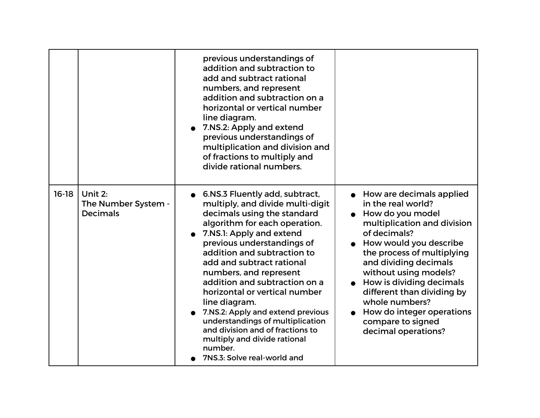|         |                                                     | previous understandings of<br>addition and subtraction to<br>add and subtract rational<br>numbers, and represent<br>addition and subtraction on a<br>horizontal or vertical number<br>line diagram.<br>7.NS.2: Apply and extend<br>previous understandings of<br>multiplication and division and<br>of fractions to multiply and<br>divide rational numbers.                                                                                                                                                                                                              |                                                                                                                                                                                                                                                                                                                                                                                  |
|---------|-----------------------------------------------------|---------------------------------------------------------------------------------------------------------------------------------------------------------------------------------------------------------------------------------------------------------------------------------------------------------------------------------------------------------------------------------------------------------------------------------------------------------------------------------------------------------------------------------------------------------------------------|----------------------------------------------------------------------------------------------------------------------------------------------------------------------------------------------------------------------------------------------------------------------------------------------------------------------------------------------------------------------------------|
| $16-18$ | Unit $2:$<br>The Number System -<br><b>Decimals</b> | 6.NS.3 Fluently add, subtract,<br>$\bullet$<br>multiply, and divide multi-digit<br>decimals using the standard<br>algorithm for each operation.<br>7.NS.1: Apply and extend<br>previous understandings of<br>addition and subtraction to<br>add and subtract rational<br>numbers, and represent<br>addition and subtraction on a<br>horizontal or vertical number<br>line diagram.<br>7.NS.2: Apply and extend previous<br>understandings of multiplication<br>and division and of fractions to<br>multiply and divide rational<br>number.<br>7NS.3: Solve real-world and | How are decimals applied<br>in the real world?<br>How do you model<br>multiplication and division<br>of decimals?<br>How would you describe<br>the process of multiplying<br>and dividing decimals<br>without using models?<br>How is dividing decimals<br>different than dividing by<br>whole numbers?<br>How do integer operations<br>compare to signed<br>decimal operations? |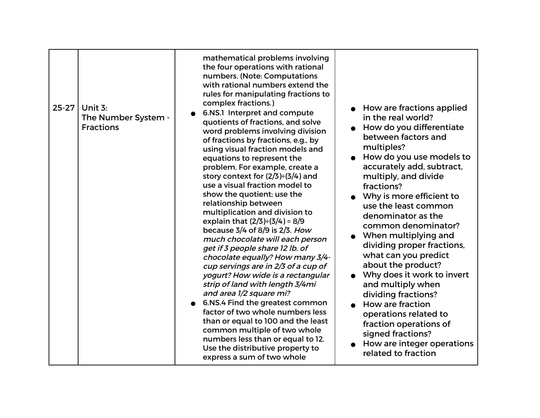| $25 - 27$ | Unit 3:<br>The Number System -<br><b>Fractions</b> | mathematical problems involving<br>the four operations with rational<br>numbers. (Note: Computations<br>with rational numbers extend the<br>rules for manipulating fractions to<br>complex fractions.)<br>6.NS.1 Interpret and compute<br>quotients of fractions, and solve<br>word problems involving division<br>of fractions by fractions, e.g., by<br>using visual fraction models and<br>equations to represent the<br>problem. For example, create a<br>story context for $(2/3) \div (3/4)$ and<br>use a visual fraction model to<br>show the quotient; use the<br>relationship between<br>multiplication and division to<br>explain that $(2/3) \div (3/4) = 8/9$<br>because $3/4$ of $8/9$ is $2/3$ . How<br>much chocolate will each person<br>get if 3 people share 12 lb. of<br>chocolate equally? How many 3/4-<br>cup servings are in 2/3 of a cup of<br>yogurt? How wide is a rectangular<br>strip of land with length 3/4mi<br>and area 1/2 square mi?<br>6.NS.4 Find the greatest common<br>factor of two whole numbers less<br>than or equal to 100 and the least<br>common multiple of two whole | How are fractions applied<br>in the real world?<br>How do you differentiate<br>between factors and<br>multiples?<br>How do you use models to<br>$\bullet$<br>accurately add, subtract,<br>multiply, and divide<br>fractions?<br>Why is more efficient to<br>use the least common<br>denominator as the<br>common denominator?<br>When multiplying and<br>dividing proper fractions,<br>what can you predict<br>about the product?<br>Why does it work to invert<br>and multiply when<br>dividing fractions?<br>How are fraction<br>operations related to<br>fraction operations of<br>signed fractions? |
|-----------|----------------------------------------------------|---------------------------------------------------------------------------------------------------------------------------------------------------------------------------------------------------------------------------------------------------------------------------------------------------------------------------------------------------------------------------------------------------------------------------------------------------------------------------------------------------------------------------------------------------------------------------------------------------------------------------------------------------------------------------------------------------------------------------------------------------------------------------------------------------------------------------------------------------------------------------------------------------------------------------------------------------------------------------------------------------------------------------------------------------------------------------------------------------------------------|---------------------------------------------------------------------------------------------------------------------------------------------------------------------------------------------------------------------------------------------------------------------------------------------------------------------------------------------------------------------------------------------------------------------------------------------------------------------------------------------------------------------------------------------------------------------------------------------------------|
|           |                                                    | numbers less than or equal to 12.<br>Use the distributive property to<br>express a sum of two whole                                                                                                                                                                                                                                                                                                                                                                                                                                                                                                                                                                                                                                                                                                                                                                                                                                                                                                                                                                                                                 | How are integer operations<br>related to fraction                                                                                                                                                                                                                                                                                                                                                                                                                                                                                                                                                       |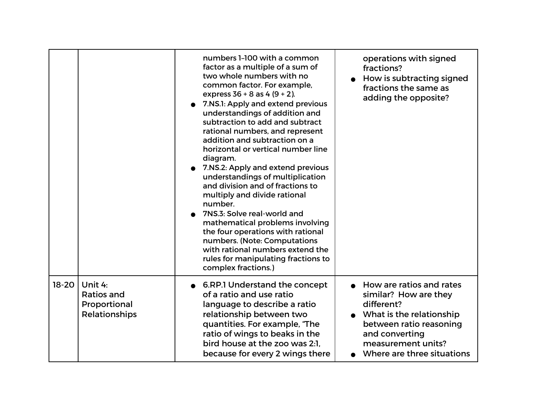|           |                                                               | numbers 1-100 with a common<br>factor as a multiple of a sum of<br>two whole numbers with no<br>common factor. For example,<br>express $36 + 8$ as $4 (9 + 2)$ .<br>7.NS.1: Apply and extend previous<br>understandings of addition and<br>subtraction to add and subtract<br>rational numbers, and represent<br>addition and subtraction on a<br>horizontal or vertical number line<br>diagram.<br>7.NS.2: Apply and extend previous<br>understandings of multiplication<br>and division and of fractions to<br>multiply and divide rational<br>number.<br>7NS.3: Solve real-world and<br>mathematical problems involving<br>the four operations with rational<br>numbers. (Note: Computations<br>with rational numbers extend the<br>rules for manipulating fractions to<br>complex fractions.) | operations with signed<br>fractions?<br>How is subtracting signed<br>fractions the same as<br>adding the opposite?                                                                           |
|-----------|---------------------------------------------------------------|---------------------------------------------------------------------------------------------------------------------------------------------------------------------------------------------------------------------------------------------------------------------------------------------------------------------------------------------------------------------------------------------------------------------------------------------------------------------------------------------------------------------------------------------------------------------------------------------------------------------------------------------------------------------------------------------------------------------------------------------------------------------------------------------------|----------------------------------------------------------------------------------------------------------------------------------------------------------------------------------------------|
| $18 - 20$ | Unit 4:<br><b>Ratios and</b><br>Proportional<br>Relationships | 6.RP.1 Understand the concept<br>of a ratio and use ratio<br>language to describe a ratio<br>relationship between two<br>quantities. For example, "The<br>ratio of wings to beaks in the<br>bird house at the zoo was 2:1.<br>because for every 2 wings there                                                                                                                                                                                                                                                                                                                                                                                                                                                                                                                                     | How are ratios and rates<br>similar? How are they<br>different?<br>What is the relationship<br>between ratio reasoning<br>and converting<br>measurement units?<br>Where are three situations |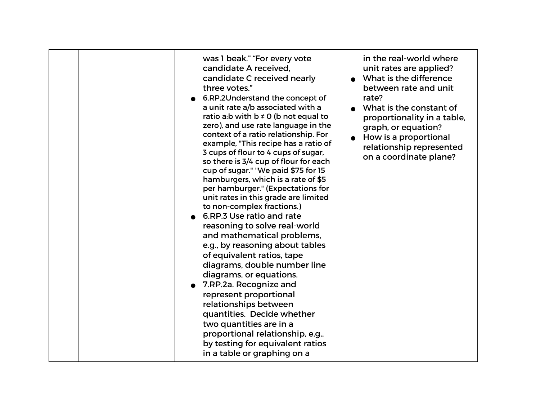|  | was 1 beak." "For every vote<br>candidate A received,<br>candidate C received nearly<br>three votes."<br>6.RP.2Understand the concept of<br>a unit rate a/b associated with a<br>ratio a:b with $b \ne 0$ (b not equal to<br>zero), and use rate language in the<br>context of a ratio relationship. For<br>example, "This recipe has a ratio of<br>3 cups of flour to 4 cups of sugar,<br>so there is 3/4 cup of flour for each<br>cup of sugar." "We paid \$75 for 15<br>hamburgers, which is a rate of \$5<br>per hamburger." (Expectations for<br>unit rates in this grade are limited<br>to non-complex fractions.)<br>6.RP.3 Use ratio and rate<br>reasoning to solve real-world<br>and mathematical problems,<br>e.g., by reasoning about tables<br>of equivalent ratios, tape<br>diagrams, double number line<br>diagrams, or equations.<br>7.RP.2a. Recognize and<br>represent proportional<br>relationships between<br>quantities. Decide whether<br>two quantities are in a<br>proportional relationship, e.g.,<br>by testing for equivalent ratios<br>in a table or graphing on a | in the real-world where<br>unit rates are applied?<br>What is the difference<br>between rate and unit<br>rate?<br>What is the constant of<br>proportionality in a table,<br>graph, or equation?<br>• How is a proportional<br>relationship represented<br>on a coordinate plane? |
|--|-----------------------------------------------------------------------------------------------------------------------------------------------------------------------------------------------------------------------------------------------------------------------------------------------------------------------------------------------------------------------------------------------------------------------------------------------------------------------------------------------------------------------------------------------------------------------------------------------------------------------------------------------------------------------------------------------------------------------------------------------------------------------------------------------------------------------------------------------------------------------------------------------------------------------------------------------------------------------------------------------------------------------------------------------------------------------------------------------|----------------------------------------------------------------------------------------------------------------------------------------------------------------------------------------------------------------------------------------------------------------------------------|
|--|-----------------------------------------------------------------------------------------------------------------------------------------------------------------------------------------------------------------------------------------------------------------------------------------------------------------------------------------------------------------------------------------------------------------------------------------------------------------------------------------------------------------------------------------------------------------------------------------------------------------------------------------------------------------------------------------------------------------------------------------------------------------------------------------------------------------------------------------------------------------------------------------------------------------------------------------------------------------------------------------------------------------------------------------------------------------------------------------------|----------------------------------------------------------------------------------------------------------------------------------------------------------------------------------------------------------------------------------------------------------------------------------|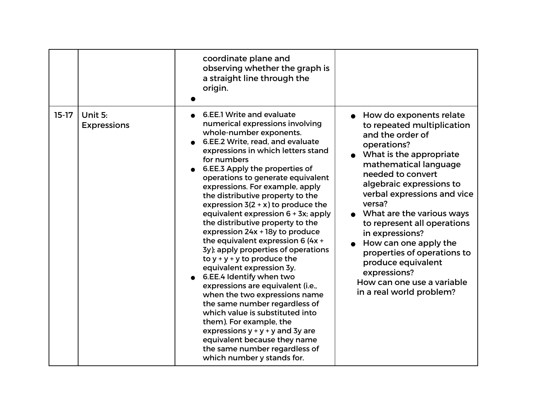|         |                               | coordinate plane and<br>observing whether the graph is<br>a straight line through the<br>origin.                                                                                                                                                                                                                                                                                                                                                                                                                                                                                                                                                                                                                                                                                                                                                                                                                                                                     |                                                                                                                                                                                                                                                                                                                                                                                                                                                                                 |
|---------|-------------------------------|----------------------------------------------------------------------------------------------------------------------------------------------------------------------------------------------------------------------------------------------------------------------------------------------------------------------------------------------------------------------------------------------------------------------------------------------------------------------------------------------------------------------------------------------------------------------------------------------------------------------------------------------------------------------------------------------------------------------------------------------------------------------------------------------------------------------------------------------------------------------------------------------------------------------------------------------------------------------|---------------------------------------------------------------------------------------------------------------------------------------------------------------------------------------------------------------------------------------------------------------------------------------------------------------------------------------------------------------------------------------------------------------------------------------------------------------------------------|
| $15-17$ | Unit 5:<br><b>Expressions</b> | 6.EE.1 Write and evaluate<br>numerical expressions involving<br>whole-number exponents.<br>6.EE.2 Write, read, and evaluate<br>expressions in which letters stand<br>for numbers<br>6.EE.3 Apply the properties of<br>operations to generate equivalent<br>expressions. For example, apply<br>the distributive property to the<br>expression $3(2 + x)$ to produce the<br>equivalent expression 6 + 3x; apply<br>the distributive property to the<br>expression 24x + 18y to produce<br>the equivalent expression 6 (4x +<br>3y); apply properties of operations<br>to $y + y + y$ to produce the<br>equivalent expression 3y.<br>6.EE.4 Identify when two<br>expressions are equivalent (i.e.,<br>when the two expressions name<br>the same number regardless of<br>which value is substituted into<br>them). For example, the<br>expressions $y + y + y$ and 3y are<br>equivalent because they name<br>the same number regardless of<br>which number y stands for. | • How do exponents relate<br>to repeated multiplication<br>and the order of<br>operations?<br>What is the appropriate<br>mathematical language<br>needed to convert<br>algebraic expressions to<br>verbal expressions and vice<br>versa?<br>What are the various ways<br>to represent all operations<br>in expressions?<br>How can one apply the<br>properties of operations to<br>produce equivalent<br>expressions?<br>How can one use a variable<br>in a real world problem? |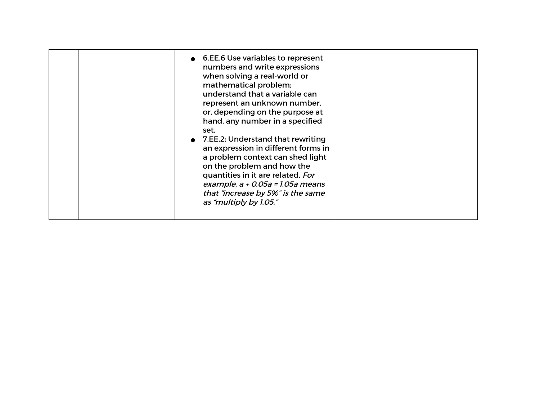|  | 6.EE.6 Use variables to represent<br>numbers and write expressions<br>when solving a real-world or<br>mathematical problem;<br>understand that a variable can<br>represent an unknown number,<br>or, depending on the purpose at<br>hand, any number in a specified<br>set.<br>• 7.EE.2: Understand that rewriting<br>an expression in different forms in<br>a problem context can shed light<br>on the problem and how the<br>quantities in it are related. For<br>example, $a + 0.05a = 1.05a$ means<br>that "increase by 5%" is the same<br>as "multiply by 1.05." |  |
|--|-----------------------------------------------------------------------------------------------------------------------------------------------------------------------------------------------------------------------------------------------------------------------------------------------------------------------------------------------------------------------------------------------------------------------------------------------------------------------------------------------------------------------------------------------------------------------|--|
|--|-----------------------------------------------------------------------------------------------------------------------------------------------------------------------------------------------------------------------------------------------------------------------------------------------------------------------------------------------------------------------------------------------------------------------------------------------------------------------------------------------------------------------------------------------------------------------|--|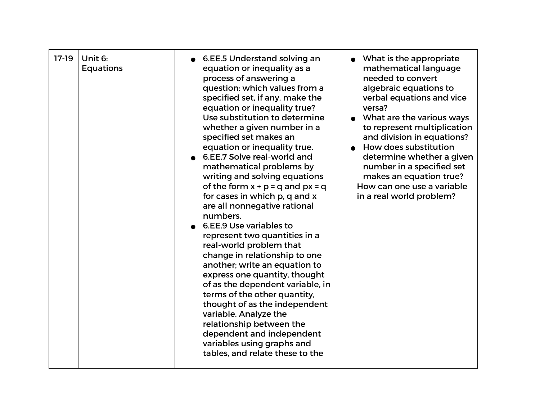| $17-19$ | Unit 6:<br><b>Equations</b> | 6.EE.5 Understand solving an<br>equation or inequality as a<br>process of answering a<br>question: which values from a<br>specified set, if any, make the<br>equation or inequality true?<br>Use substitution to determine<br>whether a given number in a<br>specified set makes an<br>equation or inequality true.<br>6.EE.7 Solve real-world and<br>mathematical problems by<br>writing and solving equations<br>of the form $x + p = q$ and $px = q$<br>for cases in which p, q and x<br>are all nonnegative rational<br>numbers.<br>6.EE.9 Use variables to<br>represent two quantities in a<br>real-world problem that<br>change in relationship to one<br>another; write an equation to<br>express one quantity, thought<br>of as the dependent variable, in<br>terms of the other quantity,<br>thought of as the independent<br>variable. Analyze the<br>relationship between the<br>dependent and independent<br>variables using graphs and<br>tables, and relate these to the | • What is the appropriate<br>mathematical language<br>needed to convert<br>algebraic equations to<br>verbal equations and vice<br>versa?<br>What are the various ways<br>to represent multiplication<br>and division in equations?<br>How does substitution<br>determine whether a given<br>number in a specified set<br>makes an equation true?<br>How can one use a variable<br>in a real world problem? |
|---------|-----------------------------|----------------------------------------------------------------------------------------------------------------------------------------------------------------------------------------------------------------------------------------------------------------------------------------------------------------------------------------------------------------------------------------------------------------------------------------------------------------------------------------------------------------------------------------------------------------------------------------------------------------------------------------------------------------------------------------------------------------------------------------------------------------------------------------------------------------------------------------------------------------------------------------------------------------------------------------------------------------------------------------|------------------------------------------------------------------------------------------------------------------------------------------------------------------------------------------------------------------------------------------------------------------------------------------------------------------------------------------------------------------------------------------------------------|
|---------|-----------------------------|----------------------------------------------------------------------------------------------------------------------------------------------------------------------------------------------------------------------------------------------------------------------------------------------------------------------------------------------------------------------------------------------------------------------------------------------------------------------------------------------------------------------------------------------------------------------------------------------------------------------------------------------------------------------------------------------------------------------------------------------------------------------------------------------------------------------------------------------------------------------------------------------------------------------------------------------------------------------------------------|------------------------------------------------------------------------------------------------------------------------------------------------------------------------------------------------------------------------------------------------------------------------------------------------------------------------------------------------------------------------------------------------------------|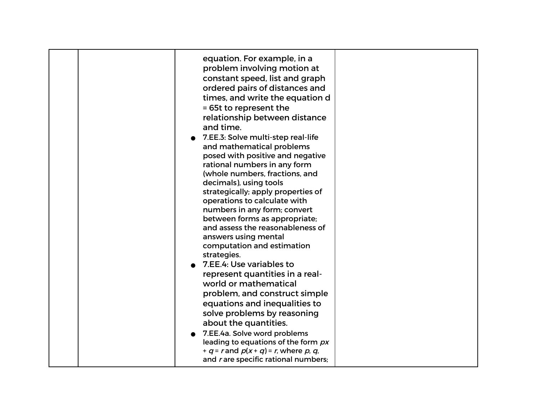| equation. For example, in a<br>problem involving motion at                                                                                                                                                      |  |
|-----------------------------------------------------------------------------------------------------------------------------------------------------------------------------------------------------------------|--|
| constant speed, list and graph<br>ordered pairs of distances and<br>times, and write the equation d<br>= 65t to represent the                                                                                   |  |
| relationship between distance<br>and time.                                                                                                                                                                      |  |
| 7.EE.3: Solve multi-step real-life<br>and mathematical problems<br>posed with positive and negative<br>rational numbers in any form                                                                             |  |
| (whole numbers, fractions, and<br>decimals), using tools<br>strategically; apply properties of<br>operations to calculate with                                                                                  |  |
| numbers in any form; convert<br>between forms as appropriate;<br>and assess the reasonableness of<br>answers using mental                                                                                       |  |
| computation and estimation<br>strategies.<br>7.EE.4: Use variables to<br>represent quantities in a real-                                                                                                        |  |
| world or mathematical<br>problem, and construct simple<br>equations and inequalities to                                                                                                                         |  |
| solve problems by reasoning<br>about the quantities.<br>7.EE.4a. Solve word problems<br>leading to equations of the form px<br>+ $q$ = r and $p(x + q)$ = r, where p, q,<br>and rare specific rational numbers; |  |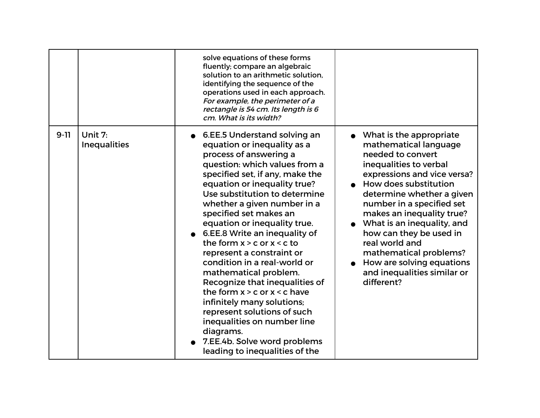|          |                                | solve equations of these forms<br>fluently; compare an algebraic<br>solution to an arithmetic solution.<br>identifying the sequence of the<br>operations used in each approach.<br>For example, the perimeter of a<br>rectangle is 54 cm. Its length is 6<br>cm. What is its width?                                                                                                                                                                                                                                                                                                                                                                                                                                           |                                                                                                                                                                                                                                                                                                                                                                                                                               |
|----------|--------------------------------|-------------------------------------------------------------------------------------------------------------------------------------------------------------------------------------------------------------------------------------------------------------------------------------------------------------------------------------------------------------------------------------------------------------------------------------------------------------------------------------------------------------------------------------------------------------------------------------------------------------------------------------------------------------------------------------------------------------------------------|-------------------------------------------------------------------------------------------------------------------------------------------------------------------------------------------------------------------------------------------------------------------------------------------------------------------------------------------------------------------------------------------------------------------------------|
| $9 - 11$ | Unit 7:<br><b>Inequalities</b> | 6.EE.5 Understand solving an<br>equation or inequality as a<br>process of answering a<br>question: which values from a<br>specified set, if any, make the<br>equation or inequality true?<br>Use substitution to determine<br>whether a given number in a<br>specified set makes an<br>equation or inequality true.<br>6.EE.8 Write an inequality of<br>the form $x > c$ or $x < c$ to<br>represent a constraint or<br>condition in a real-world or<br>mathematical problem.<br>Recognize that inequalities of<br>the form $x > c$ or $x < c$ have<br>infinitely many solutions;<br>represent solutions of such<br>inequalities on number line<br>diagrams.<br>7.EE.4b. Solve word problems<br>leading to inequalities of the | What is the appropriate<br>mathematical language<br>needed to convert<br>inequalities to verbal<br>expressions and vice versa?<br>How does substitution<br>determine whether a given<br>number in a specified set<br>makes an inequality true?<br>What is an inequality, and<br>how can they be used in<br>real world and<br>mathematical problems?<br>How are solving equations<br>and inequalities similar or<br>different? |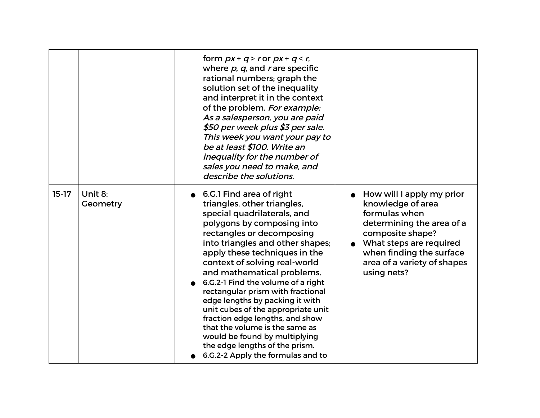|         |                     | form $px + q > r$ or $px + q < r$ ,<br>where $p$ , $q$ , and r are specific<br>rational numbers; graph the<br>solution set of the inequality<br>and interpret it in the context<br>of the problem. For example:<br>As a salesperson, you are paid<br>\$50 per week plus \$3 per sale.<br>This week you want your pay to<br>be at least \$100. Write an<br>inequality for the number of<br>sales you need to make, and<br>describe the solutions.                                                                                                                                                                       |                                                                                                                                                                                                                       |
|---------|---------------------|------------------------------------------------------------------------------------------------------------------------------------------------------------------------------------------------------------------------------------------------------------------------------------------------------------------------------------------------------------------------------------------------------------------------------------------------------------------------------------------------------------------------------------------------------------------------------------------------------------------------|-----------------------------------------------------------------------------------------------------------------------------------------------------------------------------------------------------------------------|
| $15-17$ | Unit 8:<br>Geometry | 6.G.1 Find area of right<br>triangles, other triangles,<br>special quadrilaterals, and<br>polygons by composing into<br>rectangles or decomposing<br>into triangles and other shapes;<br>apply these techniques in the<br>context of solving real-world<br>and mathematical problems.<br>6.G.2-1 Find the volume of a right<br>rectangular prism with fractional<br>edge lengths by packing it with<br>unit cubes of the appropriate unit<br>fraction edge lengths, and show<br>that the volume is the same as<br>would be found by multiplying<br>the edge lengths of the prism.<br>6.G.2-2 Apply the formulas and to | How will I apply my prior<br>knowledge of area<br>formulas when<br>determining the area of a<br>composite shape?<br>What steps are required<br>when finding the surface<br>area of a variety of shapes<br>using nets? |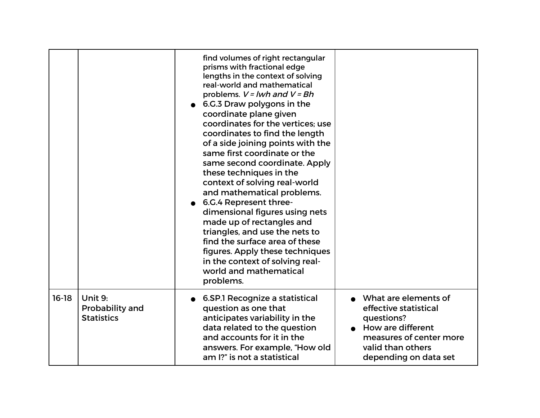|         |                                                 | find volumes of right rectangular<br>prisms with fractional edge<br>lengths in the context of solving<br>real-world and mathematical<br>problems. $V = Iwh$ and $V = Bh$<br>6.G.3 Draw polygons in the<br>coordinate plane given<br>coordinates for the vertices; use<br>coordinates to find the length<br>of a side joining points with the<br>same first coordinate or the<br>same second coordinate. Apply<br>these techniques in the<br>context of solving real-world<br>and mathematical problems.<br>6.G.4 Represent three-<br>dimensional figures using nets<br>made up of rectangles and<br>triangles, and use the nets to<br>find the surface area of these<br>figures. Apply these techniques<br>in the context of solving real-<br>world and mathematical<br>problems. |                                                                                                                                                           |
|---------|-------------------------------------------------|-----------------------------------------------------------------------------------------------------------------------------------------------------------------------------------------------------------------------------------------------------------------------------------------------------------------------------------------------------------------------------------------------------------------------------------------------------------------------------------------------------------------------------------------------------------------------------------------------------------------------------------------------------------------------------------------------------------------------------------------------------------------------------------|-----------------------------------------------------------------------------------------------------------------------------------------------------------|
| $16-18$ | Unit 9:<br>Probability and<br><b>Statistics</b> | 6.SP.1 Recognize a statistical<br>question as one that<br>anticipates variability in the<br>data related to the question<br>and accounts for it in the<br>answers. For example, "How old<br>am I?" is not a statistical                                                                                                                                                                                                                                                                                                                                                                                                                                                                                                                                                           | What are elements of<br>effective statistical<br>questions?<br>How are different<br>measures of center more<br>valid than others<br>depending on data set |